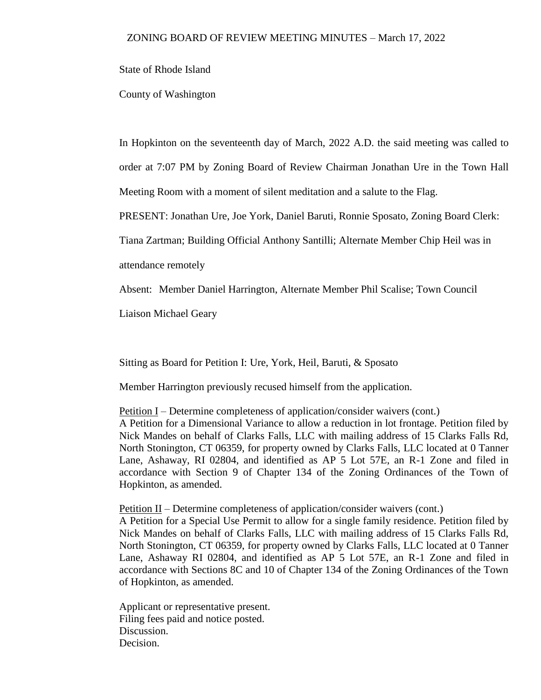State of Rhode Island

County of Washington

In Hopkinton on the seventeenth day of March, 2022 A.D. the said meeting was called to order at 7:07 PM by Zoning Board of Review Chairman Jonathan Ure in the Town Hall Meeting Room with a moment of silent meditation and a salute to the Flag.

PRESENT: Jonathan Ure, Joe York, Daniel Baruti, Ronnie Sposato, Zoning Board Clerk:

Tiana Zartman; Building Official Anthony Santilli; Alternate Member Chip Heil was in

attendance remotely

Absent: Member Daniel Harrington, Alternate Member Phil Scalise; Town Council

Liaison Michael Geary

Sitting as Board for Petition I: Ure, York, Heil, Baruti, & Sposato

Member Harrington previously recused himself from the application.

Petition I – Determine completeness of application/consider waivers (cont.) A Petition for a Dimensional Variance to allow a reduction in lot frontage. Petition filed by Nick Mandes on behalf of Clarks Falls, LLC with mailing address of 15 Clarks Falls Rd, North Stonington, CT 06359, for property owned by Clarks Falls, LLC located at 0 Tanner Lane, Ashaway, RI 02804, and identified as AP 5 Lot 57E, an R-1 Zone and filed in accordance with Section 9 of Chapter 134 of the Zoning Ordinances of the Town of Hopkinton, as amended.

Petition  $II$  – Determine completeness of application/consider waivers (cont.)

A Petition for a Special Use Permit to allow for a single family residence. Petition filed by Nick Mandes on behalf of Clarks Falls, LLC with mailing address of 15 Clarks Falls Rd, North Stonington, CT 06359, for property owned by Clarks Falls, LLC located at 0 Tanner Lane, Ashaway RI 02804, and identified as AP 5 Lot 57E, an R-1 Zone and filed in accordance with Sections 8C and 10 of Chapter 134 of the Zoning Ordinances of the Town of Hopkinton, as amended.

Applicant or representative present. Filing fees paid and notice posted. Discussion. Decision.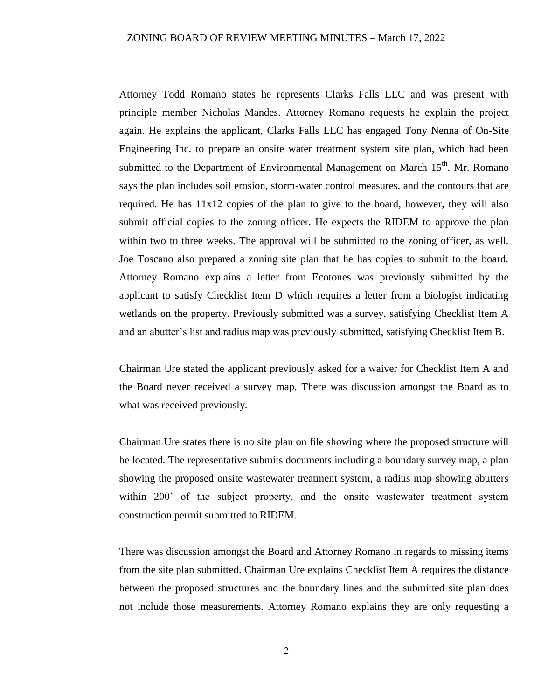Attorney Todd Romano states he represents Clarks Falls LLC and was present with principle member Nicholas Mandes. Attorney Romano requests he explain the project again. He explains the applicant, Clarks Falls LLC has engaged Tony Nenna of On-Site Engineering Inc. to prepare an onsite water treatment system site plan, which had been submitted to the Department of Environmental Management on March  $15<sup>th</sup>$ . Mr. Romano says the plan includes soil erosion, storm-water control measures, and the contours that are required. He has 11x12 copies of the plan to give to the board, however, they will also submit official copies to the zoning officer. He expects the RIDEM to approve the plan within two to three weeks. The approval will be submitted to the zoning officer, as well. Joe Toscano also prepared a zoning site plan that he has copies to submit to the board. Attorney Romano explains a letter from Ecotones was previously submitted by the applicant to satisfy Checklist Item D which requires a letter from a biologist indicating wetlands on the property. Previously submitted was a survey, satisfying Checklist Item A and an abutter's list and radius map was previously submitted, satisfying Checklist Item B.

Chairman Ure stated the applicant previously asked for a waiver for Checklist Item A and the Board never received a survey map. There was discussion amongst the Board as to what was received previously.

Chairman Ure states there is no site plan on file showing where the proposed structure will be located. The representative submits documents including a boundary survey map, a plan showing the proposed onsite wastewater treatment system, a radius map showing abutters within 200' of the subject property, and the onsite wastewater treatment system construction permit submitted to RIDEM.

There was discussion amongst the Board and Attorney Romano in regards to missing items from the site plan submitted. Chairman Ure explains Checklist Item A requires the distance between the proposed structures and the boundary lines and the submitted site plan does not include those measurements. Attorney Romano explains they are only requesting a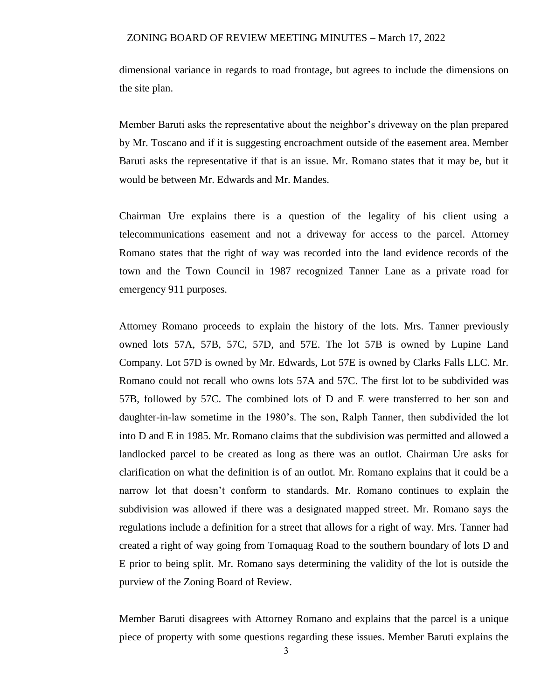dimensional variance in regards to road frontage, but agrees to include the dimensions on the site plan.

Member Baruti asks the representative about the neighbor's driveway on the plan prepared by Mr. Toscano and if it is suggesting encroachment outside of the easement area. Member Baruti asks the representative if that is an issue. Mr. Romano states that it may be, but it would be between Mr. Edwards and Mr. Mandes.

Chairman Ure explains there is a question of the legality of his client using a telecommunications easement and not a driveway for access to the parcel. Attorney Romano states that the right of way was recorded into the land evidence records of the town and the Town Council in 1987 recognized Tanner Lane as a private road for emergency 911 purposes.

Attorney Romano proceeds to explain the history of the lots. Mrs. Tanner previously owned lots 57A, 57B, 57C, 57D, and 57E. The lot 57B is owned by Lupine Land Company. Lot 57D is owned by Mr. Edwards, Lot 57E is owned by Clarks Falls LLC. Mr. Romano could not recall who owns lots 57A and 57C. The first lot to be subdivided was 57B, followed by 57C. The combined lots of D and E were transferred to her son and daughter-in-law sometime in the 1980's. The son, Ralph Tanner, then subdivided the lot into D and E in 1985. Mr. Romano claims that the subdivision was permitted and allowed a landlocked parcel to be created as long as there was an outlot. Chairman Ure asks for clarification on what the definition is of an outlot. Mr. Romano explains that it could be a narrow lot that doesn't conform to standards. Mr. Romano continues to explain the subdivision was allowed if there was a designated mapped street. Mr. Romano says the regulations include a definition for a street that allows for a right of way. Mrs. Tanner had created a right of way going from Tomaquag Road to the southern boundary of lots D and E prior to being split. Mr. Romano says determining the validity of the lot is outside the purview of the Zoning Board of Review.

Member Baruti disagrees with Attorney Romano and explains that the parcel is a unique piece of property with some questions regarding these issues. Member Baruti explains the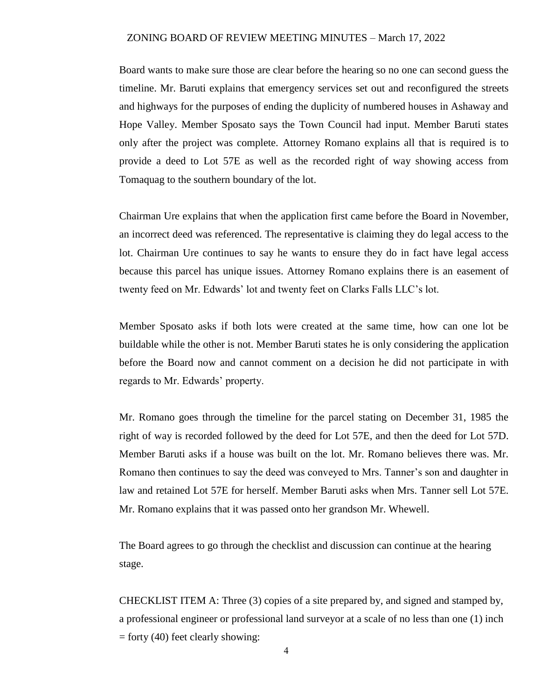Board wants to make sure those are clear before the hearing so no one can second guess the timeline. Mr. Baruti explains that emergency services set out and reconfigured the streets and highways for the purposes of ending the duplicity of numbered houses in Ashaway and Hope Valley. Member Sposato says the Town Council had input. Member Baruti states only after the project was complete. Attorney Romano explains all that is required is to provide a deed to Lot 57E as well as the recorded right of way showing access from Tomaquag to the southern boundary of the lot.

Chairman Ure explains that when the application first came before the Board in November, an incorrect deed was referenced. The representative is claiming they do legal access to the lot. Chairman Ure continues to say he wants to ensure they do in fact have legal access because this parcel has unique issues. Attorney Romano explains there is an easement of twenty feed on Mr. Edwards' lot and twenty feet on Clarks Falls LLC's lot.

Member Sposato asks if both lots were created at the same time, how can one lot be buildable while the other is not. Member Baruti states he is only considering the application before the Board now and cannot comment on a decision he did not participate in with regards to Mr. Edwards' property.

Mr. Romano goes through the timeline for the parcel stating on December 31, 1985 the right of way is recorded followed by the deed for Lot 57E, and then the deed for Lot 57D. Member Baruti asks if a house was built on the lot. Mr. Romano believes there was. Mr. Romano then continues to say the deed was conveyed to Mrs. Tanner's son and daughter in law and retained Lot 57E for herself. Member Baruti asks when Mrs. Tanner sell Lot 57E. Mr. Romano explains that it was passed onto her grandson Mr. Whewell.

The Board agrees to go through the checklist and discussion can continue at the hearing stage.

CHECKLIST ITEM A: Three (3) copies of a site prepared by, and signed and stamped by, a professional engineer or professional land surveyor at a scale of no less than one (1) inch  $=$  forty (40) feet clearly showing: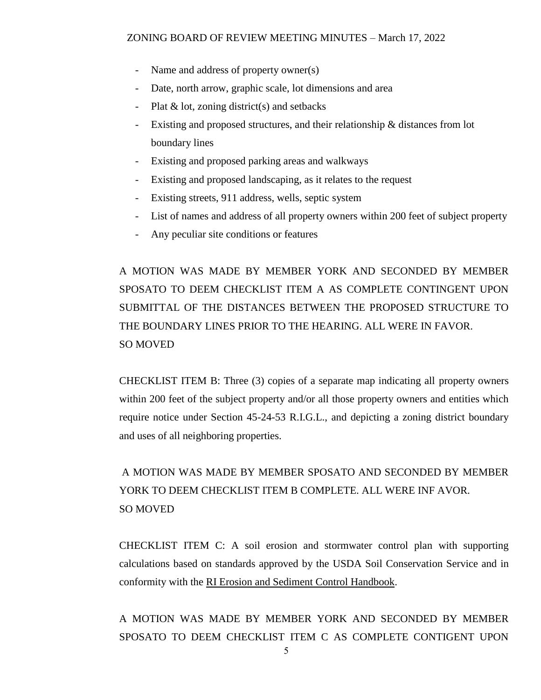- Name and address of property owner(s)
- Date, north arrow, graphic scale, lot dimensions and area
- Plat  $\&$  lot, zoning district(s) and setbacks
- Existing and proposed structures, and their relationship & distances from lot boundary lines
- Existing and proposed parking areas and walkways
- Existing and proposed landscaping, as it relates to the request
- Existing streets, 911 address, wells, septic system
- List of names and address of all property owners within 200 feet of subject property
- Any peculiar site conditions or features

A MOTION WAS MADE BY MEMBER YORK AND SECONDED BY MEMBER SPOSATO TO DEEM CHECKLIST ITEM A AS COMPLETE CONTINGENT UPON SUBMITTAL OF THE DISTANCES BETWEEN THE PROPOSED STRUCTURE TO THE BOUNDARY LINES PRIOR TO THE HEARING. ALL WERE IN FAVOR. SO MOVED

CHECKLIST ITEM B: Three (3) copies of a separate map indicating all property owners within 200 feet of the subject property and/or all those property owners and entities which require notice under Section 45-24-53 R.I.G.L., and depicting a zoning district boundary and uses of all neighboring properties.

A MOTION WAS MADE BY MEMBER SPOSATO AND SECONDED BY MEMBER YORK TO DEEM CHECKLIST ITEM B COMPLETE. ALL WERE INF AVOR. SO MOVED

CHECKLIST ITEM C: A soil erosion and stormwater control plan with supporting calculations based on standards approved by the USDA Soil Conservation Service and in conformity with the RI Erosion and Sediment Control Handbook.

A MOTION WAS MADE BY MEMBER YORK AND SECONDED BY MEMBER SPOSATO TO DEEM CHECKLIST ITEM C AS COMPLETE CONTIGENT UPON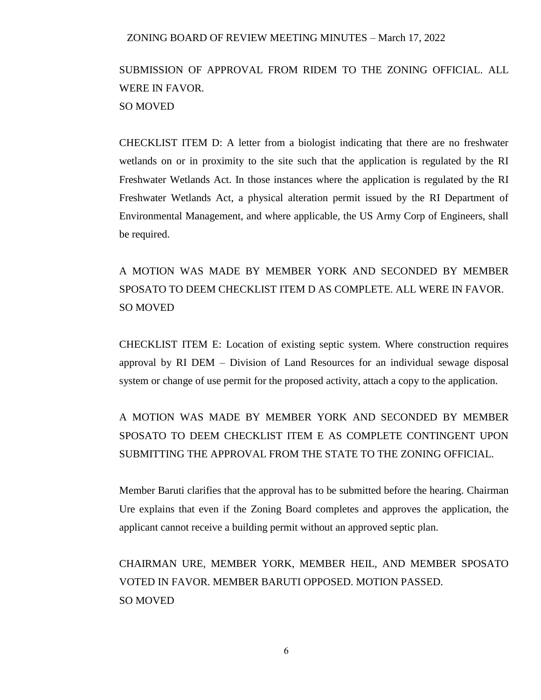# SUBMISSION OF APPROVAL FROM RIDEM TO THE ZONING OFFICIAL. ALL WERE IN FAVOR. SO MOVED

CHECKLIST ITEM D: A letter from a biologist indicating that there are no freshwater wetlands on or in proximity to the site such that the application is regulated by the RI Freshwater Wetlands Act. In those instances where the application is regulated by the RI Freshwater Wetlands Act, a physical alteration permit issued by the RI Department of Environmental Management, and where applicable, the US Army Corp of Engineers, shall be required.

# A MOTION WAS MADE BY MEMBER YORK AND SECONDED BY MEMBER SPOSATO TO DEEM CHECKLIST ITEM D AS COMPLETE. ALL WERE IN FAVOR. SO MOVED

CHECKLIST ITEM E: Location of existing septic system. Where construction requires approval by RI DEM – Division of Land Resources for an individual sewage disposal system or change of use permit for the proposed activity, attach a copy to the application.

## A MOTION WAS MADE BY MEMBER YORK AND SECONDED BY MEMBER SPOSATO TO DEEM CHECKLIST ITEM E AS COMPLETE CONTINGENT UPON SUBMITTING THE APPROVAL FROM THE STATE TO THE ZONING OFFICIAL.

Member Baruti clarifies that the approval has to be submitted before the hearing. Chairman Ure explains that even if the Zoning Board completes and approves the application, the applicant cannot receive a building permit without an approved septic plan.

## CHAIRMAN URE, MEMBER YORK, MEMBER HEIL, AND MEMBER SPOSATO VOTED IN FAVOR. MEMBER BARUTI OPPOSED. MOTION PASSED. SO MOVED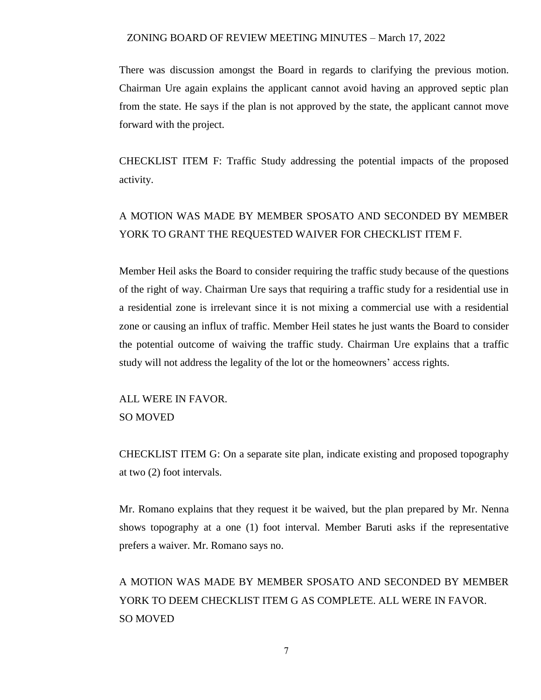There was discussion amongst the Board in regards to clarifying the previous motion. Chairman Ure again explains the applicant cannot avoid having an approved septic plan from the state. He says if the plan is not approved by the state, the applicant cannot move forward with the project.

CHECKLIST ITEM F: Traffic Study addressing the potential impacts of the proposed activity.

### A MOTION WAS MADE BY MEMBER SPOSATO AND SECONDED BY MEMBER YORK TO GRANT THE REQUESTED WAIVER FOR CHECKLIST ITEM F.

Member Heil asks the Board to consider requiring the traffic study because of the questions of the right of way. Chairman Ure says that requiring a traffic study for a residential use in a residential zone is irrelevant since it is not mixing a commercial use with a residential zone or causing an influx of traffic. Member Heil states he just wants the Board to consider the potential outcome of waiving the traffic study. Chairman Ure explains that a traffic study will not address the legality of the lot or the homeowners' access rights.

ALL WERE IN FAVOR. SO MOVED

CHECKLIST ITEM G: On a separate site plan, indicate existing and proposed topography at two (2) foot intervals.

Mr. Romano explains that they request it be waived, but the plan prepared by Mr. Nenna shows topography at a one (1) foot interval. Member Baruti asks if the representative prefers a waiver. Mr. Romano says no.

A MOTION WAS MADE BY MEMBER SPOSATO AND SECONDED BY MEMBER YORK TO DEEM CHECKLIST ITEM G AS COMPLETE. ALL WERE IN FAVOR. SO MOVED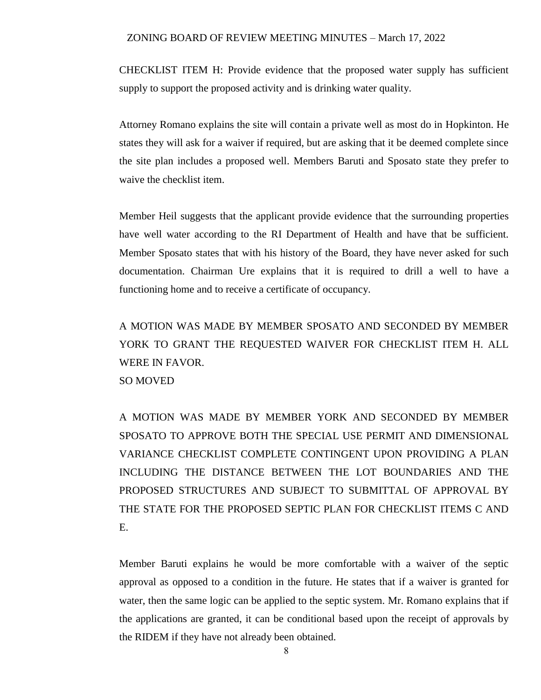CHECKLIST ITEM H: Provide evidence that the proposed water supply has sufficient supply to support the proposed activity and is drinking water quality.

Attorney Romano explains the site will contain a private well as most do in Hopkinton. He states they will ask for a waiver if required, but are asking that it be deemed complete since the site plan includes a proposed well. Members Baruti and Sposato state they prefer to waive the checklist item.

Member Heil suggests that the applicant provide evidence that the surrounding properties have well water according to the RI Department of Health and have that be sufficient. Member Sposato states that with his history of the Board, they have never asked for such documentation. Chairman Ure explains that it is required to drill a well to have a functioning home and to receive a certificate of occupancy.

A MOTION WAS MADE BY MEMBER SPOSATO AND SECONDED BY MEMBER YORK TO GRANT THE REQUESTED WAIVER FOR CHECKLIST ITEM H. ALL WERE IN FAVOR.

SO MOVED

A MOTION WAS MADE BY MEMBER YORK AND SECONDED BY MEMBER SPOSATO TO APPROVE BOTH THE SPECIAL USE PERMIT AND DIMENSIONAL VARIANCE CHECKLIST COMPLETE CONTINGENT UPON PROVIDING A PLAN INCLUDING THE DISTANCE BETWEEN THE LOT BOUNDARIES AND THE PROPOSED STRUCTURES AND SUBJECT TO SUBMITTAL OF APPROVAL BY THE STATE FOR THE PROPOSED SEPTIC PLAN FOR CHECKLIST ITEMS C AND E.

Member Baruti explains he would be more comfortable with a waiver of the septic approval as opposed to a condition in the future. He states that if a waiver is granted for water, then the same logic can be applied to the septic system. Mr. Romano explains that if the applications are granted, it can be conditional based upon the receipt of approvals by the RIDEM if they have not already been obtained.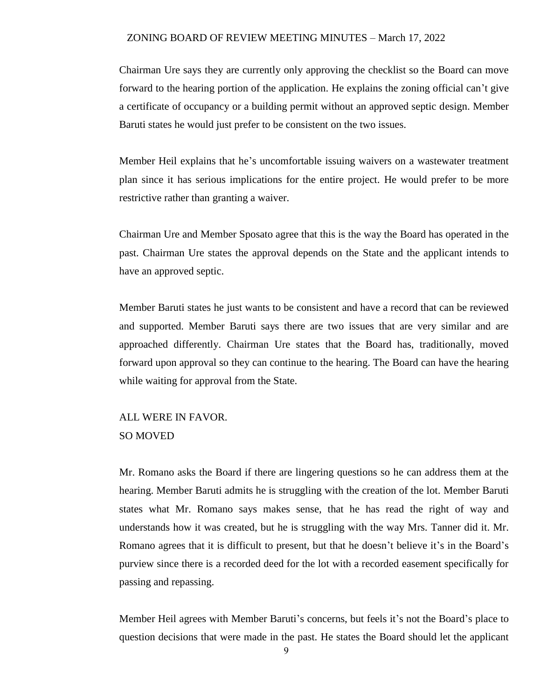Chairman Ure says they are currently only approving the checklist so the Board can move forward to the hearing portion of the application. He explains the zoning official can't give a certificate of occupancy or a building permit without an approved septic design. Member Baruti states he would just prefer to be consistent on the two issues.

Member Heil explains that he's uncomfortable issuing waivers on a wastewater treatment plan since it has serious implications for the entire project. He would prefer to be more restrictive rather than granting a waiver.

Chairman Ure and Member Sposato agree that this is the way the Board has operated in the past. Chairman Ure states the approval depends on the State and the applicant intends to have an approved septic.

Member Baruti states he just wants to be consistent and have a record that can be reviewed and supported. Member Baruti says there are two issues that are very similar and are approached differently. Chairman Ure states that the Board has, traditionally, moved forward upon approval so they can continue to the hearing. The Board can have the hearing while waiting for approval from the State.

### ALL WERE IN FAVOR. SO MOVED

Mr. Romano asks the Board if there are lingering questions so he can address them at the hearing. Member Baruti admits he is struggling with the creation of the lot. Member Baruti states what Mr. Romano says makes sense, that he has read the right of way and understands how it was created, but he is struggling with the way Mrs. Tanner did it. Mr. Romano agrees that it is difficult to present, but that he doesn't believe it's in the Board's purview since there is a recorded deed for the lot with a recorded easement specifically for passing and repassing.

Member Heil agrees with Member Baruti's concerns, but feels it's not the Board's place to question decisions that were made in the past. He states the Board should let the applicant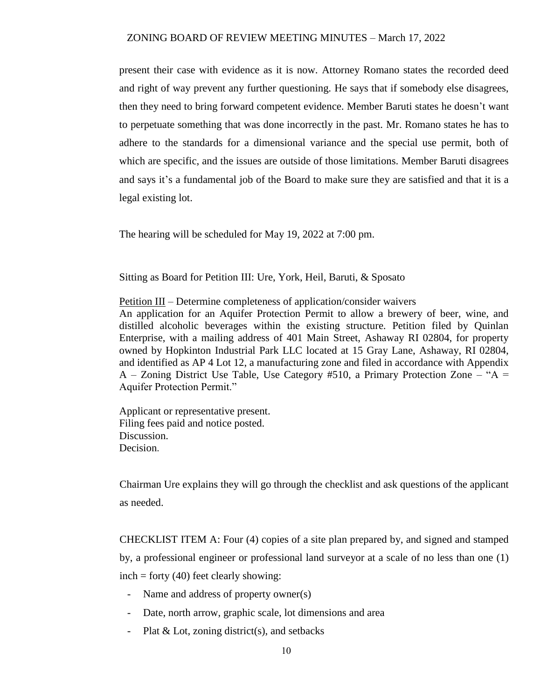present their case with evidence as it is now. Attorney Romano states the recorded deed and right of way prevent any further questioning. He says that if somebody else disagrees, then they need to bring forward competent evidence. Member Baruti states he doesn't want to perpetuate something that was done incorrectly in the past. Mr. Romano states he has to adhere to the standards for a dimensional variance and the special use permit, both of which are specific, and the issues are outside of those limitations. Member Baruti disagrees and says it's a fundamental job of the Board to make sure they are satisfied and that it is a legal existing lot.

The hearing will be scheduled for May 19, 2022 at 7:00 pm.

Sitting as Board for Petition III: Ure, York, Heil, Baruti, & Sposato

Petition III – Determine completeness of application/consider waivers An application for an Aquifer Protection Permit to allow a brewery of beer, wine, and distilled alcoholic beverages within the existing structure. Petition filed by Quinlan Enterprise, with a mailing address of 401 Main Street, Ashaway RI 02804, for property owned by Hopkinton Industrial Park LLC located at 15 Gray Lane, Ashaway, RI 02804, and identified as AP 4 Lot 12, a manufacturing zone and filed in accordance with Appendix A – Zoning District Use Table, Use Category #510, a Primary Protection Zone – "A = Aquifer Protection Permit."

Applicant or representative present. Filing fees paid and notice posted. Discussion. Decision.

Chairman Ure explains they will go through the checklist and ask questions of the applicant as needed.

CHECKLIST ITEM A: Four (4) copies of a site plan prepared by, and signed and stamped by, a professional engineer or professional land surveyor at a scale of no less than one (1)  $inch = forty (40) feet clearly showing:$ 

- Name and address of property owner(s)
- Date, north arrow, graphic scale, lot dimensions and area
- Plat & Lot, zoning district(s), and setbacks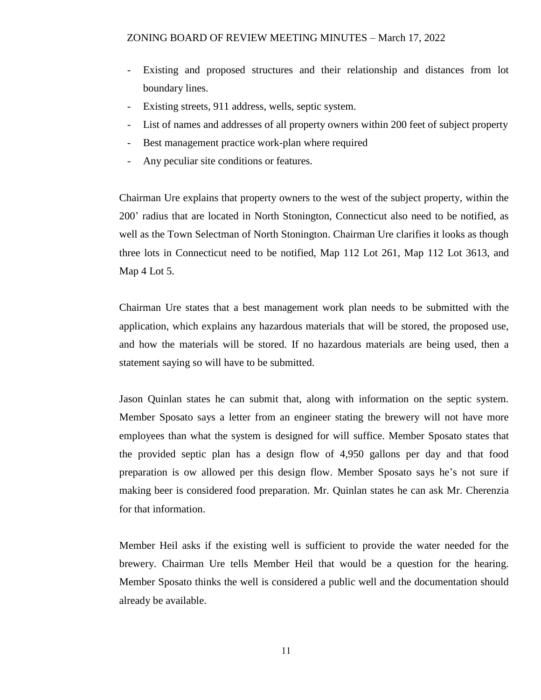- Existing and proposed structures and their relationship and distances from lot boundary lines.
- Existing streets, 911 address, wells, septic system.
- List of names and addresses of all property owners within 200 feet of subject property
- Best management practice work-plan where required
- Any peculiar site conditions or features.

Chairman Ure explains that property owners to the west of the subject property, within the 200' radius that are located in North Stonington, Connecticut also need to be notified, as well as the Town Selectman of North Stonington. Chairman Ure clarifies it looks as though three lots in Connecticut need to be notified, Map 112 Lot 261, Map 112 Lot 3613, and Map 4 Lot 5.

Chairman Ure states that a best management work plan needs to be submitted with the application, which explains any hazardous materials that will be stored, the proposed use, and how the materials will be stored. If no hazardous materials are being used, then a statement saying so will have to be submitted.

Jason Quinlan states he can submit that, along with information on the septic system. Member Sposato says a letter from an engineer stating the brewery will not have more employees than what the system is designed for will suffice. Member Sposato states that the provided septic plan has a design flow of 4,950 gallons per day and that food preparation is ow allowed per this design flow. Member Sposato says he's not sure if making beer is considered food preparation. Mr. Quinlan states he can ask Mr. Cherenzia for that information.

Member Heil asks if the existing well is sufficient to provide the water needed for the brewery. Chairman Ure tells Member Heil that would be a question for the hearing. Member Sposato thinks the well is considered a public well and the documentation should already be available.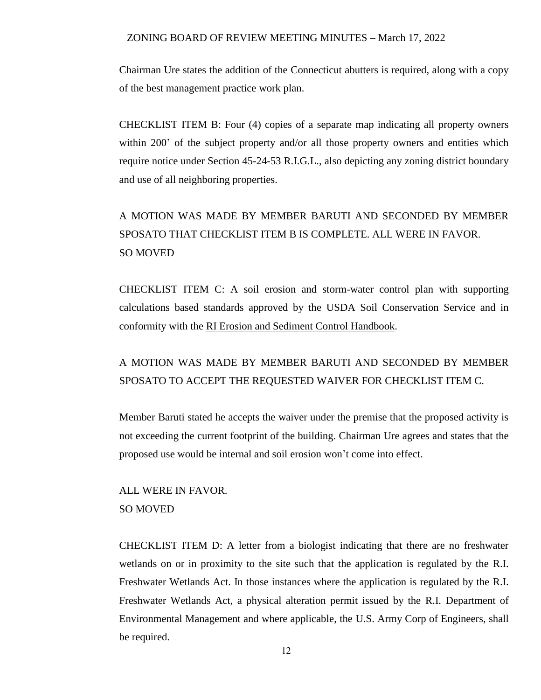Chairman Ure states the addition of the Connecticut abutters is required, along with a copy of the best management practice work plan.

CHECKLIST ITEM B: Four (4) copies of a separate map indicating all property owners within 200' of the subject property and/or all those property owners and entities which require notice under Section 45-24-53 R.I.G.L., also depicting any zoning district boundary and use of all neighboring properties.

# A MOTION WAS MADE BY MEMBER BARUTI AND SECONDED BY MEMBER SPOSATO THAT CHECKLIST ITEM B IS COMPLETE. ALL WERE IN FAVOR. SO MOVED

CHECKLIST ITEM C: A soil erosion and storm-water control plan with supporting calculations based standards approved by the USDA Soil Conservation Service and in conformity with the RI Erosion and Sediment Control Handbook.

### A MOTION WAS MADE BY MEMBER BARUTI AND SECONDED BY MEMBER SPOSATO TO ACCEPT THE REQUESTED WAIVER FOR CHECKLIST ITEM C.

Member Baruti stated he accepts the waiver under the premise that the proposed activity is not exceeding the current footprint of the building. Chairman Ure agrees and states that the proposed use would be internal and soil erosion won't come into effect.

### ALL WERE IN FAVOR. SO MOVED

CHECKLIST ITEM D: A letter from a biologist indicating that there are no freshwater wetlands on or in proximity to the site such that the application is regulated by the R.I. Freshwater Wetlands Act. In those instances where the application is regulated by the R.I. Freshwater Wetlands Act, a physical alteration permit issued by the R.I. Department of Environmental Management and where applicable, the U.S. Army Corp of Engineers, shall be required.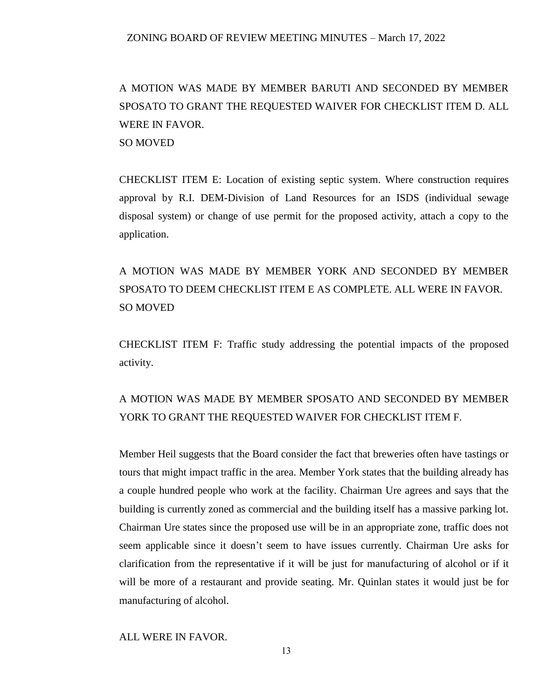# A MOTION WAS MADE BY MEMBER BARUTI AND SECONDED BY MEMBER SPOSATO TO GRANT THE REQUESTED WAIVER FOR CHECKLIST ITEM D. ALL WERE IN FAVOR. SO MOVED

CHECKLIST ITEM E: Location of existing septic system. Where construction requires approval by R.I. DEM-Division of Land Resources for an ISDS (individual sewage disposal system) or change of use permit for the proposed activity, attach a copy to the application.

A MOTION WAS MADE BY MEMBER YORK AND SECONDED BY MEMBER SPOSATO TO DEEM CHECKLIST ITEM E AS COMPLETE. ALL WERE IN FAVOR. SO MOVED

CHECKLIST ITEM F: Traffic study addressing the potential impacts of the proposed activity.

### A MOTION WAS MADE BY MEMBER SPOSATO AND SECONDED BY MEMBER YORK TO GRANT THE REQUESTED WAIVER FOR CHECKLIST ITEM F.

Member Heil suggests that the Board consider the fact that breweries often have tastings or tours that might impact traffic in the area. Member York states that the building already has a couple hundred people who work at the facility. Chairman Ure agrees and says that the building is currently zoned as commercial and the building itself has a massive parking lot. Chairman Ure states since the proposed use will be in an appropriate zone, traffic does not seem applicable since it doesn't seem to have issues currently. Chairman Ure asks for clarification from the representative if it will be just for manufacturing of alcohol or if it will be more of a restaurant and provide seating. Mr. Quinlan states it would just be for manufacturing of alcohol.

ALL WERE IN FAVOR.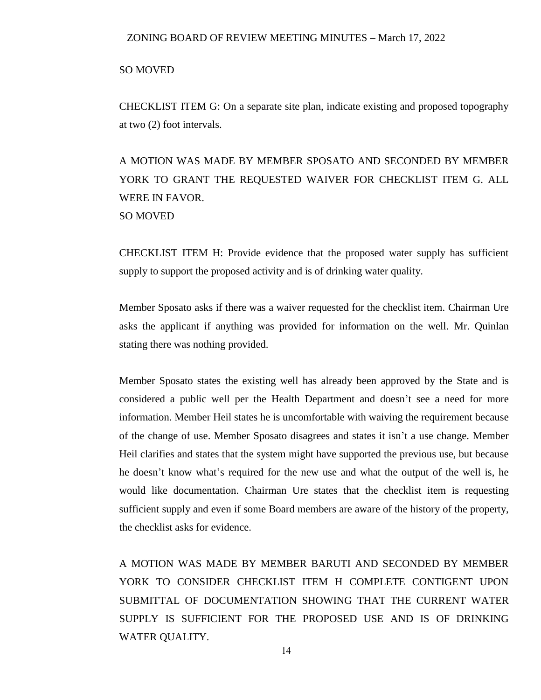#### SO MOVED

CHECKLIST ITEM G: On a separate site plan, indicate existing and proposed topography at two (2) foot intervals.

A MOTION WAS MADE BY MEMBER SPOSATO AND SECONDED BY MEMBER YORK TO GRANT THE REQUESTED WAIVER FOR CHECKLIST ITEM G. ALL WERE IN FAVOR. SO MOVED

CHECKLIST ITEM H: Provide evidence that the proposed water supply has sufficient supply to support the proposed activity and is of drinking water quality.

Member Sposato asks if there was a waiver requested for the checklist item. Chairman Ure asks the applicant if anything was provided for information on the well. Mr. Quinlan stating there was nothing provided.

Member Sposato states the existing well has already been approved by the State and is considered a public well per the Health Department and doesn't see a need for more information. Member Heil states he is uncomfortable with waiving the requirement because of the change of use. Member Sposato disagrees and states it isn't a use change. Member Heil clarifies and states that the system might have supported the previous use, but because he doesn't know what's required for the new use and what the output of the well is, he would like documentation. Chairman Ure states that the checklist item is requesting sufficient supply and even if some Board members are aware of the history of the property, the checklist asks for evidence.

A MOTION WAS MADE BY MEMBER BARUTI AND SECONDED BY MEMBER YORK TO CONSIDER CHECKLIST ITEM H COMPLETE CONTIGENT UPON SUBMITTAL OF DOCUMENTATION SHOWING THAT THE CURRENT WATER SUPPLY IS SUFFICIENT FOR THE PROPOSED USE AND IS OF DRINKING WATER QUALITY.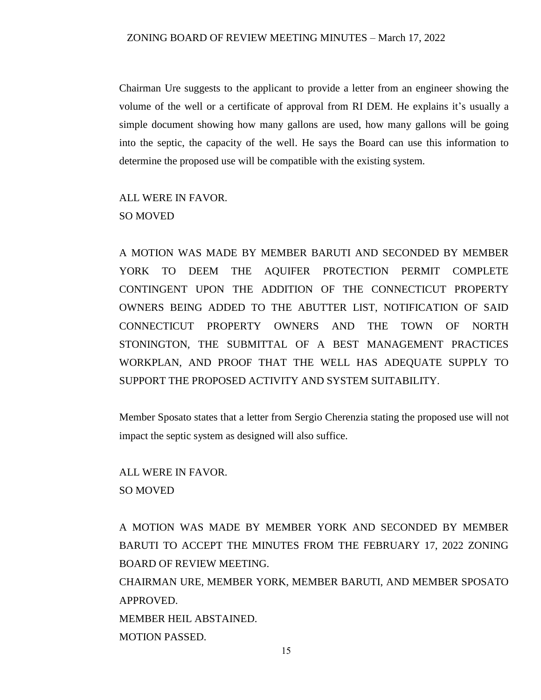Chairman Ure suggests to the applicant to provide a letter from an engineer showing the volume of the well or a certificate of approval from RI DEM. He explains it's usually a simple document showing how many gallons are used, how many gallons will be going into the septic, the capacity of the well. He says the Board can use this information to determine the proposed use will be compatible with the existing system.

### ALL WERE IN FAVOR. SO MOVED

A MOTION WAS MADE BY MEMBER BARUTI AND SECONDED BY MEMBER YORK TO DEEM THE AQUIFER PROTECTION PERMIT COMPLETE CONTINGENT UPON THE ADDITION OF THE CONNECTICUT PROPERTY OWNERS BEING ADDED TO THE ABUTTER LIST, NOTIFICATION OF SAID CONNECTICUT PROPERTY OWNERS AND THE TOWN OF NORTH STONINGTON, THE SUBMITTAL OF A BEST MANAGEMENT PRACTICES WORKPLAN, AND PROOF THAT THE WELL HAS ADEQUATE SUPPLY TO SUPPORT THE PROPOSED ACTIVITY AND SYSTEM SUITABILITY.

Member Sposato states that a letter from Sergio Cherenzia stating the proposed use will not impact the septic system as designed will also suffice.

ALL WERE IN FAVOR. SO MOVED

A MOTION WAS MADE BY MEMBER YORK AND SECONDED BY MEMBER BARUTI TO ACCEPT THE MINUTES FROM THE FEBRUARY 17, 2022 ZONING BOARD OF REVIEW MEETING.

CHAIRMAN URE, MEMBER YORK, MEMBER BARUTI, AND MEMBER SPOSATO APPROVED. MEMBER HEIL ABSTAINED.

MOTION PASSED.